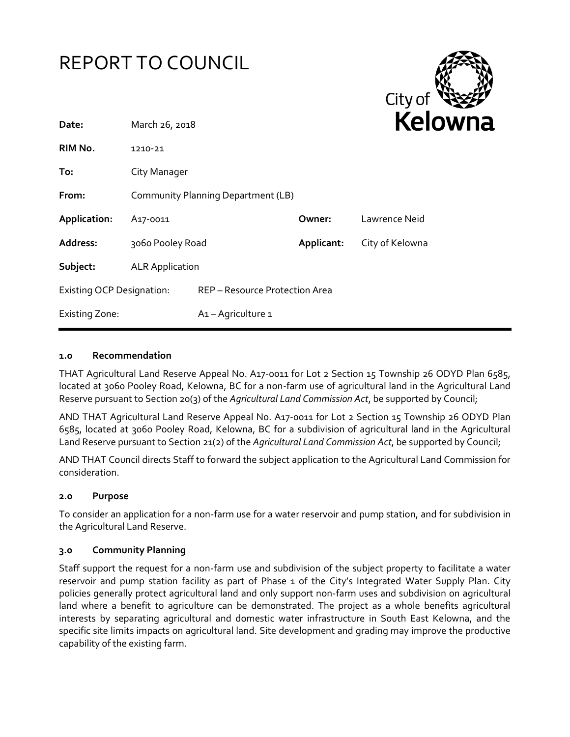



| Date:                            | March 26, 2018                     |                                |            | Kelo            |
|----------------------------------|------------------------------------|--------------------------------|------------|-----------------|
| RIM No.                          | 1210-21                            |                                |            |                 |
| To:                              | City Manager                       |                                |            |                 |
| From:                            | Community Planning Department (LB) |                                |            |                 |
| Application:                     | A17-0011                           |                                | Owner:     | Lawrence Neid   |
| Address:                         | 3060 Pooley Road                   |                                | Applicant: | City of Kelowna |
| Subject:                         | <b>ALR Application</b>             |                                |            |                 |
| <b>Existing OCP Designation:</b> |                                    | REP - Resource Protection Area |            |                 |
| <b>Existing Zone:</b>            |                                    | A <sub>1</sub> - Agriculture 1 |            |                 |

#### **1.0 Recommendation**

THAT Agricultural Land Reserve Appeal No. A17-0011 for Lot 2 Section 15 Township 26 ODYD Plan 6585, located at 3060 Pooley Road, Kelowna, BC for a non-farm use of agricultural land in the Agricultural Land Reserve pursuant to Section 20(3) of the *Agricultural Land Commission Act*, be supported by Council;

AND THAT Agricultural Land Reserve Appeal No. A17-0011 for Lot 2 Section 15 Township 26 ODYD Plan 6585, located at 3060 Pooley Road, Kelowna, BC for a subdivision of agricultural land in the Agricultural Land Reserve pursuant to Section 21(2) of the *Agricultural Land Commission Act*, be supported by Council;

AND THAT Council directs Staff to forward the subject application to the Agricultural Land Commission for consideration.

#### **2.0 Purpose**

To consider an application for a non-farm use for a water reservoir and pump station, and for subdivision in the Agricultural Land Reserve.

#### **3.0 Community Planning**

Staff support the request for a non-farm use and subdivision of the subject property to facilitate a water reservoir and pump station facility as part of Phase 1 of the City's Integrated Water Supply Plan. City policies generally protect agricultural land and only support non-farm uses and subdivision on agricultural land where a benefit to agriculture can be demonstrated. The project as a whole benefits agricultural interests by separating agricultural and domestic water infrastructure in South East Kelowna, and the specific site limits impacts on agricultural land. Site development and grading may improve the productive capability of the existing farm.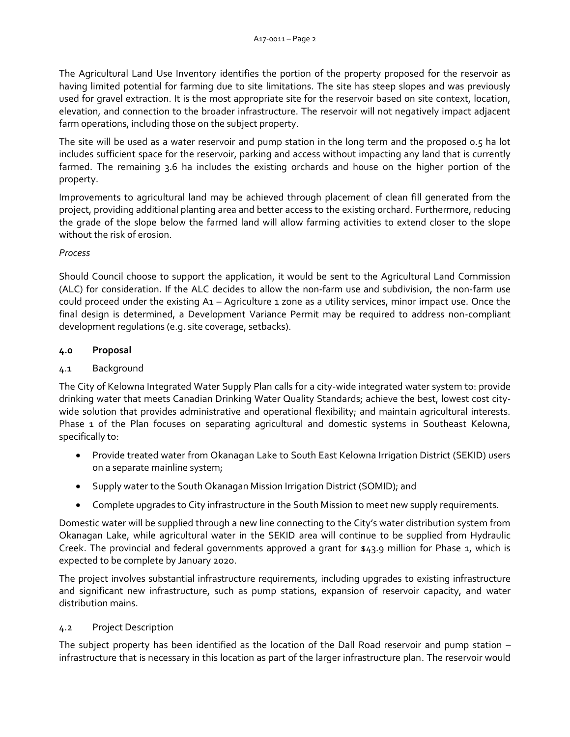The Agricultural Land Use Inventory identifies the portion of the property proposed for the reservoir as having limited potential for farming due to site limitations. The site has steep slopes and was previously used for gravel extraction. It is the most appropriate site for the reservoir based on site context, location, elevation, and connection to the broader infrastructure. The reservoir will not negatively impact adjacent farm operations, including those on the subject property.

The site will be used as a water reservoir and pump station in the long term and the proposed 0.5 ha lot includes sufficient space for the reservoir, parking and access without impacting any land that is currently farmed. The remaining 3.6 ha includes the existing orchards and house on the higher portion of the property.

Improvements to agricultural land may be achieved through placement of clean fill generated from the project, providing additional planting area and better access to the existing orchard. Furthermore, reducing the grade of the slope below the farmed land will allow farming activities to extend closer to the slope without the risk of erosion.

# *Process*

Should Council choose to support the application, it would be sent to the Agricultural Land Commission (ALC) for consideration. If the ALC decides to allow the non-farm use and subdivision, the non-farm use could proceed under the existing A1 – Agriculture 1 zone as a utility services, minor impact use. Once the final design is determined, a Development Variance Permit may be required to address non-compliant development regulations (e.g. site coverage, setbacks).

# **4.0 Proposal**

# 4.1 Background

The City of Kelowna Integrated Water Supply Plan calls for a city-wide integrated water system to: provide drinking water that meets Canadian Drinking Water Quality Standards; achieve the best, lowest cost citywide solution that provides administrative and operational flexibility; and maintain agricultural interests. Phase 1 of the Plan focuses on separating agricultural and domestic systems in Southeast Kelowna, specifically to:

- Provide treated water from Okanagan Lake to South East Kelowna Irrigation District (SEKID) users on a separate mainline system;
- Supply water to the South Okanagan Mission Irrigation District (SOMID); and
- Complete upgrades to City infrastructure in the South Mission to meet new supply requirements.

Domestic water will be supplied through a new line connecting to the City's water distribution system from Okanagan Lake, while agricultural water in the SEKID area will continue to be supplied from Hydraulic Creek. The provincial and federal governments approved a grant for  $\frac{43.9}{9}$  million for Phase 1, which is expected to be complete by January 2020.

The project involves substantial infrastructure requirements, including upgrades to existing infrastructure and significant new infrastructure, such as pump stations, expansion of reservoir capacity, and water distribution mains.

#### 4.2 Project Description

The subject property has been identified as the location of the Dall Road reservoir and pump station – infrastructure that is necessary in this location as part of the larger infrastructure plan. The reservoir would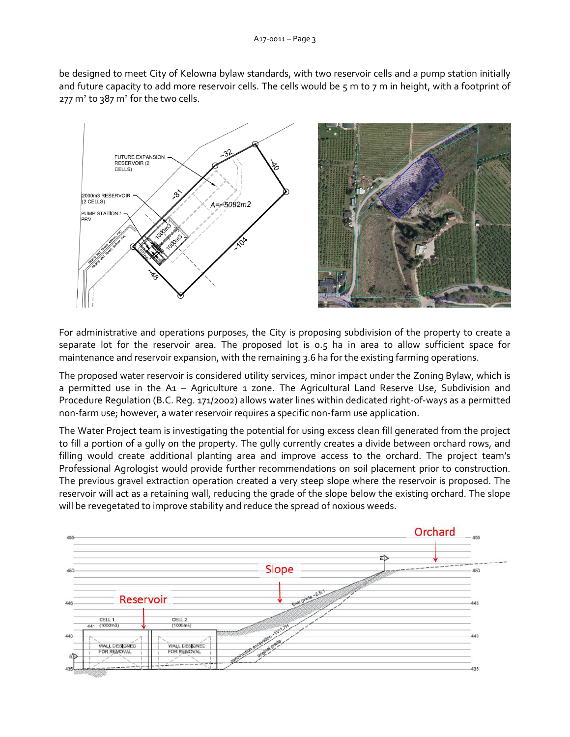be designed to meet City of Kelowna bylaw standards, with two reservoir cells and a pump station initially and future capacity to add more reservoir cells. The cells would be 5 m to 7 m in height, with a footprint of  $277$  m<sup>2</sup> to  $387$  m<sup>2</sup> for the two cells.





For administrative and operations purposes, the City is proposing subdivision of the property to create a separate lot for the reservoir area. The proposed lot is 0.5 ha in area to allow sufficient space for maintenance and reservoir expansion, with the remaining 3.6 ha for the existing farming operations.

The proposed water reservoir is considered utility services, minor impact under the Zoning Bylaw, which is a permitted use in the A1 - Agriculture 1 zone. The Agricultural Land Reserve Use, Subdivision and Procedure Regulation (B.C. Reg. 171/2002) allows water lines within dedicated right-of-ways as a permitted non-farm use; however, a water reservoir requires a specific non-farm use application.

The Water Project team is investigating the potential for using excess clean fill generated from the project to fill a portion of a gully on the property. The gully currently creates a divide between orchard rows, and filling would create additional planting area and improve access to the orchard. The project team's Professional Agrologist would provide further recommendations on soil placement prior to construction. The previous gravel extraction operation created a very steep slope where the reservoir is proposed. The reservoir will act as a retaining wall, reducing the grade of the slope below the existing orchard. The slope will be revegetated to improve stability and reduce the spread of noxious weeds.

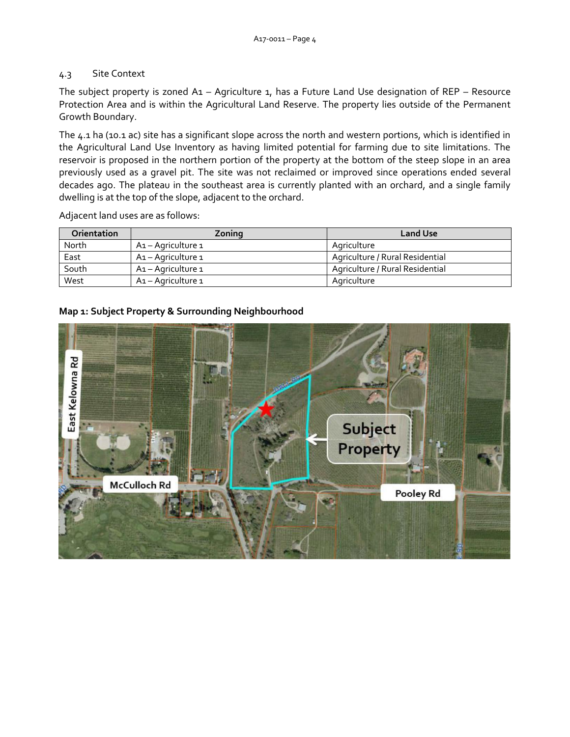# 4.3 Site Context

The subject property is zoned A1 – Agriculture 1, has a Future Land Use designation of REP – Resource Protection Area and is within the Agricultural Land Reserve. The property lies outside of the Permanent Growth Boundary.

The 4.1 ha (10.1 ac) site has a significant slope across the north and western portions, which is identified in the Agricultural Land Use Inventory as having limited potential for farming due to site limitations. The reservoir is proposed in the northern portion of the property at the bottom of the steep slope in an area previously used as a gravel pit. The site was not reclaimed or improved since operations ended several decades ago. The plateau in the southeast area is currently planted with an orchard, and a single family dwelling is at the top of the slope, adjacent to the orchard.

Adjacent land uses are as follows:

| <b>Orientation</b> | Zoning                         | <b>Land Use</b>                 |
|--------------------|--------------------------------|---------------------------------|
| North              | A1 – Agriculture 1             | Agriculture                     |
| East               | A1 - Agriculture 1             | Agriculture / Rural Residential |
| South              | A1-Agriculture 1               | Agriculture / Rural Residential |
| West               | A <sub>1</sub> - Agriculture 1 | Agriculture                     |

# **Map 1: Subject Property & Surrounding Neighbourhood**

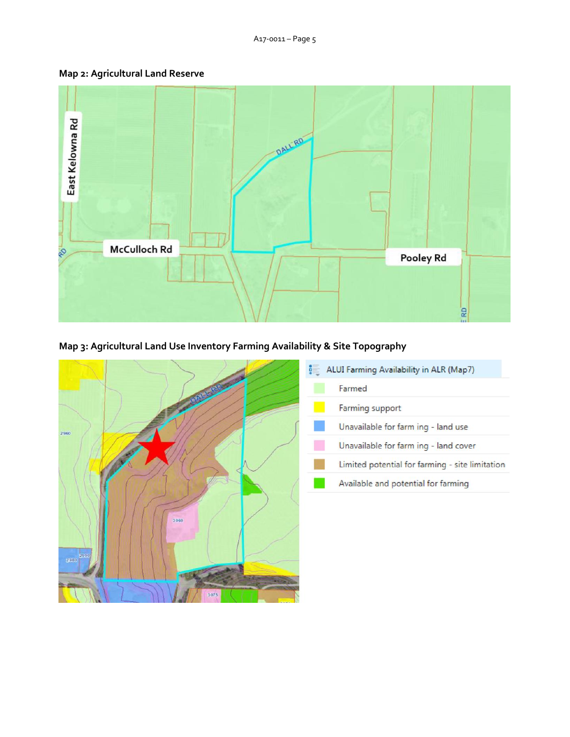



# **Map 3: Agricultural Land Use Inventory Farming Availability & Site Topography**



| ģ. | ALUI Farming Availability in ALR (Map7)         |
|----|-------------------------------------------------|
|    | Farmed                                          |
|    | Farming support                                 |
|    | Unavailable for farm ing - land use             |
|    | Unavailable for farm ing - land cover           |
|    | Limited potential for farming - site limitation |
|    | Available and potential for farming             |
|    |                                                 |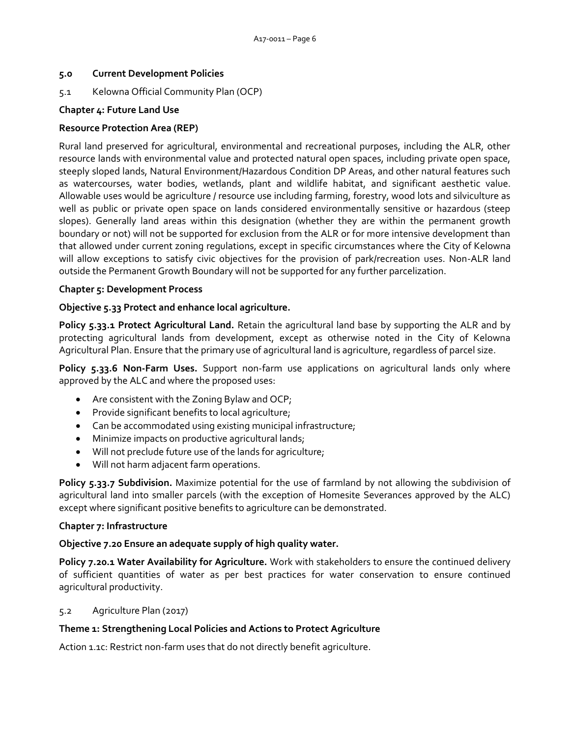#### **5.0 Current Development Policies**

5.1 Kelowna Official Community Plan (OCP)

# **Chapter 4: Future Land Use**

## **Resource Protection Area (REP)**

Rural land preserved for agricultural, environmental and recreational purposes, including the ALR, other resource lands with environmental value and protected natural open spaces, including private open space, steeply sloped lands, Natural Environment/Hazardous Condition DP Areas, and other natural features such as watercourses, water bodies, wetlands, plant and wildlife habitat, and significant aesthetic value. Allowable uses would be agriculture / resource use including farming, forestry, wood lots and silviculture as well as public or private open space on lands considered environmentally sensitive or hazardous (steep slopes). Generally land areas within this designation (whether they are within the permanent growth boundary or not) will not be supported for exclusion from the ALR or for more intensive development than that allowed under current zoning regulations, except in specific circumstances where the City of Kelowna will allow exceptions to satisfy civic objectives for the provision of park/recreation uses. Non-ALR land outside the Permanent Growth Boundary will not be supported for any further parcelization.

#### **Chapter 5: Development Process**

#### **Objective 5.33 Protect and enhance local agriculture.**

**Policy 5.33.1 Protect Agricultural Land.** Retain the agricultural land base by supporting the ALR and by protecting agricultural lands from development, except as otherwise noted in the City of Kelowna Agricultural Plan. Ensure that the primary use of agricultural land is agriculture, regardless of parcel size.

**Policy 5.33.6 Non-Farm Uses.** Support non-farm use applications on agricultural lands only where approved by the ALC and where the proposed uses:

- Are consistent with the Zoning Bylaw and OCP;
- Provide significant benefits to local agriculture;
- Can be accommodated using existing municipal infrastructure;
- Minimize impacts on productive agricultural lands;
- Will not preclude future use of the lands for agriculture;
- Will not harm adjacent farm operations.

**Policy 5.33.7 Subdivision.** Maximize potential for the use of farmland by not allowing the subdivision of agricultural land into smaller parcels (with the exception of Homesite Severances approved by the ALC) except where significant positive benefits to agriculture can be demonstrated.

#### **Chapter 7: Infrastructure**

#### **Objective 7.20 Ensure an adequate supply of high quality water.**

**Policy 7.20.1 Water Availability for Agriculture.** Work with stakeholders to ensure the continued delivery of sufficient quantities of water as per best practices for water conservation to ensure continued agricultural productivity.

#### 5.2 Agriculture Plan (2017)

#### **Theme 1: Strengthening Local Policies and Actions to Protect Agriculture**

Action 1.1c: Restrict non-farm uses that do not directly benefit agriculture.